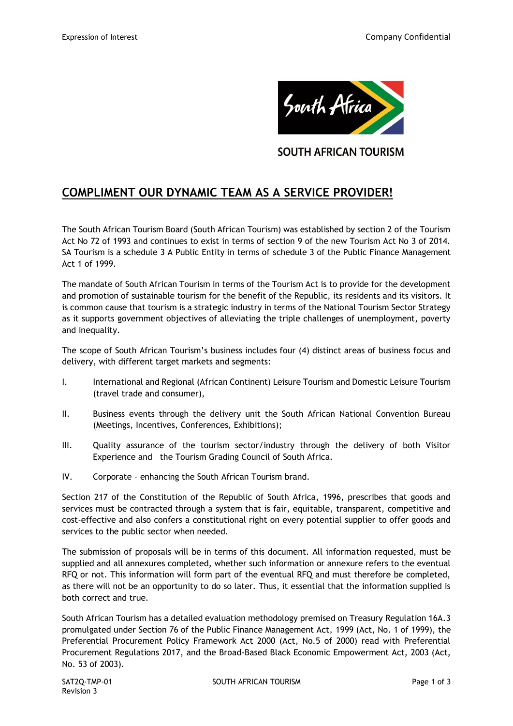

**SOUTH AFRICAN TOURISM** 

# **COMPLIMENT OUR DYNAMIC TEAM AS A SERVICE PROVIDER!**

The South African Tourism Board (South African Tourism) was established by section 2 of the Tourism Act No 72 of 1993 and continues to exist in terms of section 9 of the new Tourism Act No 3 of 2014. SA Tourism is a schedule 3 A Public Entity in terms of schedule 3 of the Public Finance Management Act 1 of 1999.

The mandate of South African Tourism in terms of the Tourism Act is to provide for the development and promotion of sustainable tourism for the benefit of the Republic, its residents and its visitors. It is common cause that tourism is a strategic industry in terms of the National Tourism Sector Strategy as it supports government objectives of alleviating the triple challenges of unemployment, poverty and inequality.

The scope of South African Tourism's business includes four (4) distinct areas of business focus and delivery, with different target markets and segments:

- I. International and Regional (African Continent) Leisure Tourism and Domestic Leisure Tourism (travel trade and consumer),
- II. Business events through the delivery unit the South African National Convention Bureau (Meetings, Incentives, Conferences, Exhibitions);
- III. Quality assurance of the tourism sector/industry through the delivery of both Visitor Experience and the Tourism Grading Council of South Africa.
- IV. Corporate enhancing the South African Tourism brand.

Section 217 of the Constitution of the Republic of South Africa, 1996, prescribes that goods and services must be contracted through a system that is fair, equitable, transparent, competitive and cost-effective and also confers a constitutional right on every potential supplier to offer goods and services to the public sector when needed.

The submission of proposals will be in terms of this document. All information requested, must be supplied and all annexures completed, whether such information or annexure refers to the eventual RFQ or not. This information will form part of the eventual RFQ and must therefore be completed, as there will not be an opportunity to do so later. Thus, it essential that the information supplied is both correct and true.

South African Tourism has a detailed evaluation methodology premised on Treasury Regulation 16A.3 promulgated under Section 76 of the Public Finance Management Act, 1999 (Act, No. 1 of 1999), the Preferential Procurement Policy Framework Act 2000 (Act, No.5 of 2000) read with Preferential Procurement Regulations 2017, and the Broad-Based Black Economic Empowerment Act, 2003 (Act, No. 53 of 2003).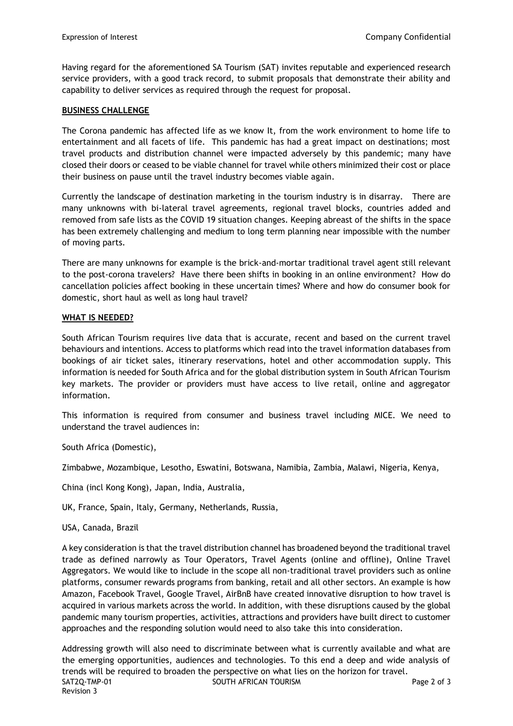Having regard for the aforementioned SA Tourism (SAT) invites reputable and experienced research service providers, with a good track record, to submit proposals that demonstrate their ability and capability to deliver services as required through the request for proposal.

## **BUSINESS CHALLENGE**

The Corona pandemic has affected life as we know It, from the work environment to home life to entertainment and all facets of life. This pandemic has had a great impact on destinations; most travel products and distribution channel were impacted adversely by this pandemic; many have closed their doors or ceased to be viable channel for travel while others minimized their cost or place their business on pause until the travel industry becomes viable again.

Currently the landscape of destination marketing in the tourism industry is in disarray. There are many unknowns with bi-lateral travel agreements, regional travel blocks, countries added and removed from safe lists as the COVID 19 situation changes. Keeping abreast of the shifts in the space has been extremely challenging and medium to long term planning near impossible with the number of moving parts.

There are many unknowns for example is the brick-and-mortar traditional travel agent still relevant to the post-corona travelers? Have there been shifts in booking in an online environment? How do cancellation policies affect booking in these uncertain times? Where and how do consumer book for domestic, short haul as well as long haul travel?

### **WHAT IS NEEDED?**

South African Tourism requires live data that is accurate, recent and based on the current travel behaviours and intentions. Access to platforms which read into the travel information databases from bookings of air ticket sales, itinerary reservations, hotel and other accommodation supply. This information is needed for South Africa and for the global distribution system in South African Tourism key markets. The provider or providers must have access to live retail, online and aggregator information.

This information is required from consumer and business travel including MICE. We need to understand the travel audiences in:

South Africa (Domestic),

Zimbabwe, Mozambique, Lesotho, Eswatini, Botswana, Namibia, Zambia, Malawi, Nigeria, Kenya,

China (incl Kong Kong), Japan, India, Australia,

UK, France, Spain, Italy, Germany, Netherlands, Russia,

USA, Canada, Brazil

A key consideration is that the travel distribution channel has broadened beyond the traditional travel trade as defined narrowly as Tour Operators, Travel Agents (online and offline), Online Travel Aggregators. We would like to include in the scope all non-traditional travel providers such as online platforms, consumer rewards programs from banking, retail and all other sectors. An example is how Amazon, Facebook Travel, Google Travel, AirBnB have created innovative disruption to how travel is acquired in various markets across the world. In addition, with these disruptions caused by the global pandemic many tourism properties, activities, attractions and providers have built direct to customer approaches and the responding solution would need to also take this into consideration.

SAT2Q-TMP-01 SOUTH AFRICAN TOURISM SAT2Q-TMP-01 Page 2 of 3 Revision 3 Addressing growth will also need to discriminate between what is currently available and what are the emerging opportunities, audiences and technologies. To this end a deep and wide analysis of trends will be required to broaden the perspective on what lies on the horizon for travel.